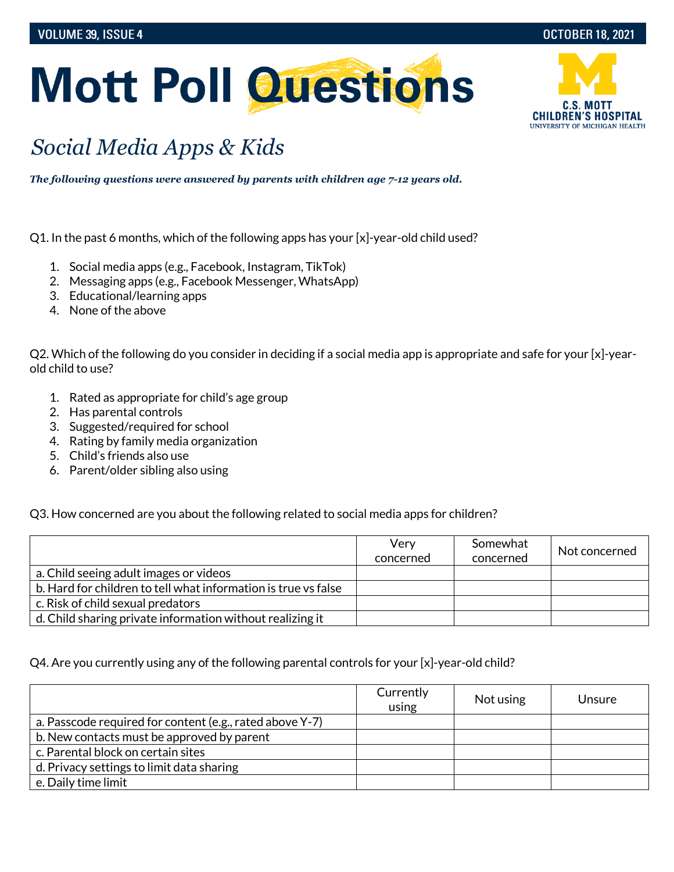

## **Mott Poll Questions**

## *Social Media Apps & Kids*

*The following questions were answered by parents with children age 7-12 years old.*

Q1. In the past 6 months, which of the following apps has your [x]-year-old child used?

- 1. Social media apps (e.g., Facebook, Instagram, TikTok)
- 2. Messaging apps (e.g., Facebook Messenger, WhatsApp)
- 3. Educational/learning apps
- 4. None of the above

Q2. Which of the following do you consider in deciding if a social media app is appropriate and safe for your [x]-yearold child to use?

- 1. Rated as appropriate for child's age group
- 2. Has parental controls
- 3. Suggested/required for school
- 4. Rating by family media organization
- 5. Child's friends also use
- 6. Parent/older sibling also using

Q3. How concerned are you about the following related to social media apps for children?

|                                                                | Very<br>concerned | Somewhat<br>concerned | Not concerned |
|----------------------------------------------------------------|-------------------|-----------------------|---------------|
| a. Child seeing adult images or videos                         |                   |                       |               |
| b. Hard for children to tell what information is true vs false |                   |                       |               |
| c. Risk of child sexual predators                              |                   |                       |               |
| d. Child sharing private information without realizing it      |                   |                       |               |

## Q4. Are you currently using any of the following parental controls for your [x]-year-old child?

|                                                          | Currently<br>using | Not using | Unsure |
|----------------------------------------------------------|--------------------|-----------|--------|
| a. Passcode required for content (e.g., rated above Y-7) |                    |           |        |
| b. New contacts must be approved by parent               |                    |           |        |
| c. Parental block on certain sites                       |                    |           |        |
| d. Privacy settings to limit data sharing                |                    |           |        |
| e. Daily time limit                                      |                    |           |        |